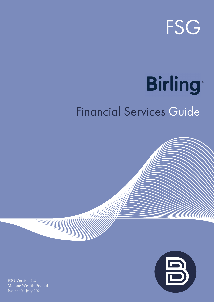

# **Birling**

# Financial Services Guide



FSG Version 1.2 Malone Wealth Pty Ltd Issued: 01 July 2021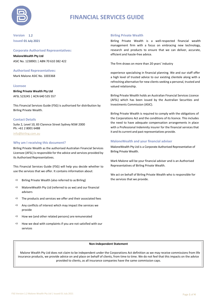

## **FINANCIAL SERVICES GUIDE**

**Version** 1.2 **Issued** 01 July 2021

#### **Corporate Authorised Representatives:**

**MaloneWealth Pty Ltd** ASIC No. 1238901 | ABN 70 610 382 422

**Authorised Representatives:**

Mark Malone ASIC No. 1003368

#### **Licensee**

**Birling Private Wealth Pty Ltd** AFSL 523245 | ACN 640 535 557

This Financial Services Guide (FSG) is authorised for distribution by Birling Private Wealth.

#### **Contact Details**

Suite 2, Level 10, 83 Clarence Street Sydney NSW 2000 Ph: +61 2 8001 6488

[info@birling.com.au](mailto:info@birling.com.au)

#### **Why am I receiving this document?**

Birling Private Wealth as the authorised Australian Financial Services Licensee (AFSL) is responsible for the advice and services provided by its Authorised Representatives.

This Financial Services Guide (FSG) will help you decide whether to use the services that we offer. It contains information about:

- $\Rightarrow$  Birling Private Wealth (also referred to as Birling)
- $\Rightarrow$  MaloneWealth Pty Ltd (referred to as we) and our financial advisers
- $\Rightarrow$  The products and services we offer and their associated fees
- $\Rightarrow$  Any conflicts of interest which may impact the services we provide
- $\Rightarrow$  How we (and other related persons) are remunerated
- $\Rightarrow$  How we deal with complaints if you are not satisfied with our services

#### **Birling Private Wealth**

Birling Private Wealth is a well-respected financial wealth management firm with a focus on embracing new technology, research and products to ensure that we can deliver, accurate, efficient and hassle-free advice.

The firm draws on more than 20 years' industry

experience specialising in financial planning. We and our staff offer a high level of trusted advice to our existing clientele along with a refreshing alternative for new clients seeking a personal, trusted and valued relationship.

Birling Private Wealth holds an Australian Financial Services Licence (AFSL) which has been issued by the Australian Securities and Investments Commission (ASIC).

Birling Private Wealth is required to comply with the obligations of the Corporations Act and the conditions of its licence. This includes the need to have adequate compensation arrangements in place with a Professional Indemnity insurer for the financial services that it and its current and past representatives provide.

#### **MaloneWealth and your financial adviser**

MaloneWealth Pty Ltd is a Corporate Authorised Representative of Birling Private Wealth.

Mark Malone will be your financial adviser and is an Authorised Representatives of Birling Private Wealth.

We act on behalf of Birling Private Wealth who is responsible for the services that we provide.

#### **Non-Independent Statement**

Malone Wealth Pty Ltd does not claim to be independent under the Corporations Act definition as we may receive commissions from life insurance products, we provide advice on and place on behalf of clients, from time to time. We do not feel that this impacts on the advice provided to clients, as all insurance companies have the same commission caps.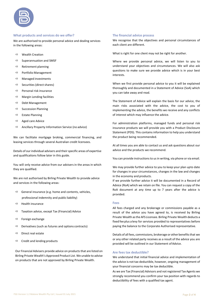#### **What products and services do we offer?**

We are authorised to provide personal advice and dealing services in the following areas:

- $\Leftrightarrow$  Wealth Creation
- $\Rightarrow$  Superannuation and SMSF
- $\Rightarrow$  Retirement planning
- $\Rightarrow$  Portfolio Management
- $\Rightarrow$  Managed investments
- $\Rightarrow$  Securities (direct shares)
- $\Rightarrow$  Personal risk insurance
- $\Rightarrow$  Margin Lending facilities
- $\Rightarrow$  Debt Management
- $\Rightarrow$  Succession Planning
- $\Rightarrow$  Estate Planning
- $\Rightarrow$  Aged care Advice
- $\Rightarrow$  Ancillary Property Information Service (no advice)

We can facilitate mortgage broking, commercial financing, and leasing services through several Australian credit licensees.

Details of our individual advisers and their specific areas of expertise and qualifications follow later in this guide.

You will only receive advice from our advisers in the areas in which they are qualified.

We are not authorised by Birling Private Wealth to provide advice and services in the following areas:

- $\Rightarrow$  General insurance (e.g. home and contents, vehicles,
	- professional indemnity and public liability)
- $\Rightarrow$  Health insurance
- $\Rightarrow$  Taxation advice, except Tax (Financial) Advice
- $\Rightarrow$  Foreign exchange
- $\Rightarrow$  Derivatives (such as futures and options contracts)
- $\Rightarrow$  Direct real estate
- $\Rightarrow$  Credit and lending products

Our Financial Advisers provide advice on products that are listed on Birling Private Wealth's Approved Product List. We unable to advise on products that are not approved by Birling Private Wealth.

#### **The financial advice process**

We recognise that the objectives and personal circumstances of each client are different.

What is right for one client may not be right for another.

Where we provide personal advice, we will listen to you to understand your objectives and circumstances. We will also ask questions to make sure we provide advice which is in your best interests.

When we first provide personal advice to you it will be explained thoroughly and documented in a Statement of Advice (SoA) which you can take away and read.

The Statement of Advice will explain the basis for our advice, the main risks associated with the advice, the cost to you of implementing the advice, the benefits we receive and any conflicts of interest which may influence the advice.

For administration platforms, managed funds and personal risk insurance products we will provide you with a Product Disclosure Statement (PDS). This contains information to help you understand the product being recommended.

At all times you are able to contact us and ask questions about our advice and the products we recommend.

You can provide instructions to us in writing, via phone or via email.

We may provide further advice to you to keep your plan upto date for changes in your circumstances, changes in the law and changes in the economy and products.

If we provide further advice it will be documented in a Record of Advice (RoA) which we retain on file. You can request a copy of the RoA document at any time up to 7 years after the advice is provided.

#### **Fees**

All fees charged and any brokerage or commissions payable as a result of the advice you have agreed to, is received by Birling Private Wealth asthe AFS Licensee. Birling Private Wealth deducts a fixed fee plus a levy for services provided to representatives before paying the balance to the Corporate Authorised representative.

Details of all fees, commissions, brokerage or other benefitsthat we or any other related party receives as a result of the advice you are provided will be outlined in our Statement of Advice.

#### **Are fees tax deductible?**

We understand that initial financial advice and implementation of the advice is not tax-deductible, however, ongoing management of your financial concerns may be tax deductible.

As we are Tax (Financial) Advisors and not registered Tax Agents we strongly recommend you confirm your tax position with regards to deductibility of fees with a qualified tax agent.

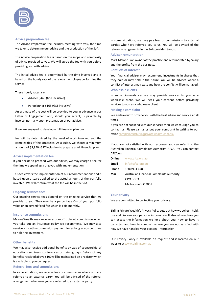

#### **Advice preparation fee**

The Advice Preparation fee includes meeting with you, the time we take to determine our advice and the production of the SoA.

The Advice Preparation fee is based on the scope and complexity of advice provided to you. We will agree the fee with you before providing you with advice.

The initial advice fee is determined by the time involved and is based on the hourly rate of the relevant employeeperforming the service.

These hourly rates are:

- Adviser \$440 (GST inclusive)
- Paraplanner \$165 (GST inclusive)

An estimate of the cost will be provided to you in advance in our Letter of Engagement and, should you accept, is payable by invoice, normally upon presentation of our advice.

If we are engaged to develop a full financial plan our

fee will be determined by the level of work involved and the complexities of the strategies. As a guide, we charge a minimum amount of \$3,850 (GST inclusive) to prepare a full financial plan.

#### **Advice implementation fee**

If you decide to proceed with our advice, we may charge a fee for the time we spend assisting you with implementation.

This fee covers the implementation of our recommendations and is based upon a scale applied to the actual amount of the portfolio invested. We will confirm what the fee will be in the SoA.

#### **Ongoing services fees**

Our ongoing service fees depend on the ongoing service that we provide to you. They may be a percentage (%) of your portfolio value or an agreed fixed fee which is paid monthly.

#### **Insurance commissions**

MaloneWealth may receive a one-off upfront commission when you take out an insurance policy we recommend. We may also receive a monthly commission payment for as long as you continue to hold the investment.

#### **Other benefits**

We may also receive additional benefits by way of sponsorship of educations seminars, conferences or training days. Details of any benefits received above \$100 will be maintained on a register which is available to you on request.

#### **Referral fees and commissions**

In some situations, we receive fees or commissions where you are referred to an external party. You will be advised of the referral arrangement whenever you are referred to an external party.

In some situations, we may pay fees or commissions to external parties who have referred you to us. You will be advised of the referral arrangements in the SoA provided to you.

#### **Adviser remuneration**

Mark Malone is an owner of the practice and remunerated by salary and the profits from the business.

#### **Conflicts of interest**

Your financial adviser may recommend investments in shares that they hold or may hold in the future. You will be advised where a conflict of interest may exist and how the conflict will be managed.

#### **Wholesale clients**

In some circumstances we may provide services to you as a wholesale client. We will seek your consent before providing services to you as a wholesale client.

#### **Making a complaint**

We endeavour to provide you with the best advice and service at all times.

If you are not satisfied with our services then we encourage you to contact us. Please call us or put your complaint in writing to our office [complaints@birlingprivatewealth.com.au.](mailto:complaints@birlingprivatewealth.com.au.)

If you are not satisfied with our response, you can refer it to the Australian Financial Complaints Authority (AFCA). You can contact AFCA on:

| Online | www.afca.org.au                                  |
|--------|--------------------------------------------------|
| Email  | info@afca.org.au                                 |
| Phone  | 1800 931 678                                     |
| Mail   | <b>Australian Financial Complaints Authority</b> |
|        | GPO Box 3                                        |
|        | Melbourne VIC 3001                               |

#### **Your privacy**

We are committed to protecting your privacy.

Birling Private Wealth's Privacy Policy sets out how we collect, hold, use and disclose your personal information. It also sets out how you can access the information we hold about you, how to have it corrected and how to complain where you are not satisfied with how we have handled your personal information.

Our Privacy Policy is available on request and is located on our website at [www.birling.com.au.](http://www.birling.com.au./)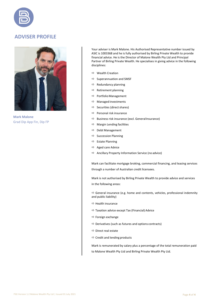### **ADVISER PROFILE**



**Mark Malone** Grad Dip App Fin, Dip FP

Your adviser is Mark Malone. His Authorised Representative number issued by ASIC is 1003368 and he is fully authorised by Birling Private Wealth to provide financial advice. He is the Director of Malone Wealth Pty Ltd and Principal Partner of Birling Private Wealth. He specialises in giving advice in the following disciplines:

- $\Rightarrow$  Wealth Creation
- $\Rightarrow$  Superannuation and SMSF
- $\Rightarrow$  Redundancy planning
- $\Rightarrow$  Retirement planning
- $\Rightarrow$  Portfolio Management
- $\Rightarrow$  Managed investments
- $\Rightarrow$  Securities (direct shares)
- $\Rightarrow$  Personal risk insurance
- $\Rightarrow$  Business risk insurance (excl. General Insurance)
- $\Rightarrow$  Margin Lending facilities
- $\Rightarrow$  Debt Management
- $\Rightarrow$  Succession Planning
- $\Rightarrow$  Estate Planning
- $\Rightarrow$  Aged care Advice
- $\Rightarrow$  Ancillary Property Information Service (no advice)

Mark can facilitate mortgage broking, commercial financing, and leasing services through a number of Australian credit licensees.

Mark is not authorised by Birling Private Wealth to provide advice and services in the following areas:

 $\Rightarrow$  General insurance (e.g. home and contents, vehicles, professional indemnity and public liability)

- $\Rightarrow$  Health insurance
- $\Rightarrow$  Taxation advice except Tax (Financial) Advice
- $\Rightarrow$  Foreign exchange
- $\Rightarrow$  Derivatives (such as futures and options contracts)
- $\Rightarrow$  Direct real estate
- $\Rightarrow$  Credit and lending products

Mark is remunerated by salary plus a percentage of the total remuneration paid to Malone Wealth Pty Ltd and Birling Private Wealth Pty Ltd.